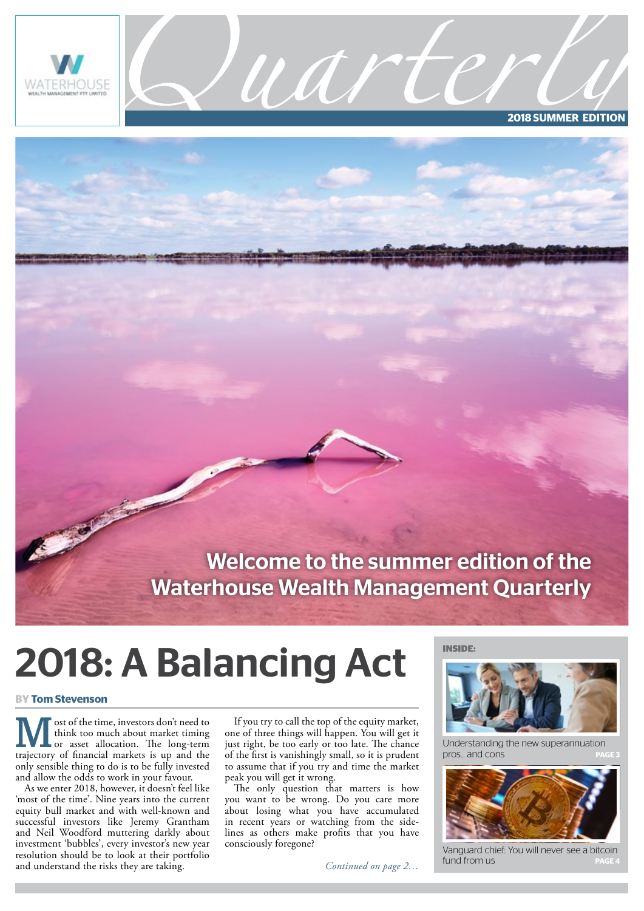

**2018 SUMMER EDITION**

### Welcome to the summer edition of the Waterhouse Wealth Management Quarterly

uarti

# 2018: A Balancing Act

#### **BY Tom Stevenson**

**M** ost of the time, investors don't need to<br>think too much about market timing<br>or asset allocation. The long-term think too much about market timing trajectory of financial markets is up and the only sensible thing to do is to be fully invested and allow the odds to work in your favour.

As we enter 2018, however, it doesn't feel like 'most of the time'. Nine years into the current equity bull market and with well-known and successful investors like Jeremy Grantham and Neil Woodford muttering darkly about investment 'bubbles', every investor's new year resolution should be to look at their portfolio and understand the risks they are taking.

If you try to call the top of the equity market, one of three things will happen. You will get it just right, be too early or too late. The chance of the first is vanishingly small, so it is prudent to assume that if you try and time the market peak you will get it wrong.

The only question that matters is how you want to be wrong. Do you care more about losing what you have accumulated in recent years or watching from the sidelines as others make profits that you have consciously foregone?

*Continued on page 2…*





Understanding the new superannuation pros... and cons



Vanguard chief: You will never see a bitcoin fund from us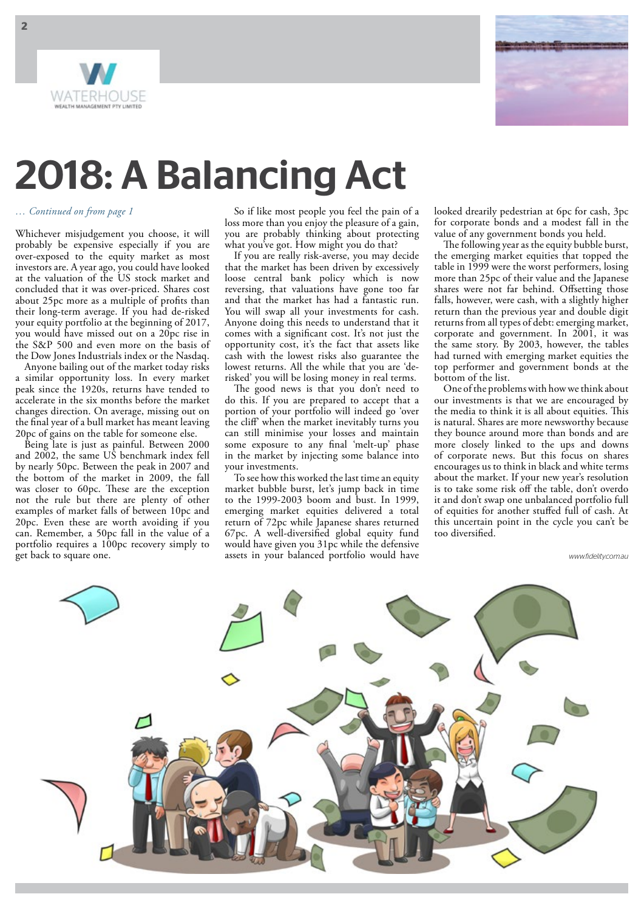



## 2018: A Balancing Act

#### *… Continued on from page 1*

Whichever misjudgement you choose, it will probably be expensive especially if you are over-exposed to the equity market as most investors are. A year ago, you could have looked at the valuation of the US stock market and concluded that it was over-priced. Shares cost about 25pc more as a multiple of profits than their long-term average. If you had de-risked your equity portfolio at the beginning of 2017, you would have missed out on a 20pc rise in the S&P 500 and even more on the basis of the Dow Jones Industrials index or the Nasdaq.

Anyone bailing out of the market today risks a similar opportunity loss. In every market peak since the 1920s, returns have tended to accelerate in the six months before the market changes direction. On average, missing out on the final year of a bull market has meant leaving 20pc of gains on the table for someone else.

Being late is just as painful. Between 2000 and 2002, the same US benchmark index fell by nearly 50pc. Between the peak in 2007 and the bottom of the market in 2009, the fall was closer to 60pc. These are the exception not the rule but there are plenty of other examples of market falls of between 10pc and 20pc. Even these are worth avoiding if you can. Remember, a 50pc fall in the value of a portfolio requires a 100pc recovery simply to get back to square one.

So if like most people you feel the pain of a loss more than you enjoy the pleasure of a gain, you are probably thinking about protecting what you've got. How might you do that?

If you are really risk-averse, you may decide that the market has been driven by excessively loose central bank policy which is now reversing, that valuations have gone too far and that the market has had a fantastic run. You will swap all your investments for cash. Anyone doing this needs to understand that it comes with a significant cost. It's not just the opportunity cost, it's the fact that assets like cash with the lowest risks also guarantee the lowest returns. All the while that you are 'derisked' you will be losing money in real terms.

The good news is that you don't need to do this. If you are prepared to accept that a portion of your portfolio will indeed go 'over the cliff' when the market inevitably turns you can still minimise your losses and maintain some exposure to any final 'melt-up' phase in the market by injecting some balance into your investments.

To see how this worked the last time an equity market bubble burst, let's jump back in time to the 1999-2003 boom and bust. In 1999, emerging market equities delivered a total return of 72pc while Japanese shares returned 67pc. A well-diversified global equity fund would have given you 31pc while the defensive assets in your balanced portfolio would have looked drearily pedestrian at 6pc for cash, 3pc for corporate bonds and a modest fall in the value of any government bonds you held.

The following year as the equity bubble burst, the emerging market equities that topped the table in 1999 were the worst performers, losing more than 25pc of their value and the Japanese shares were not far behind. Offsetting those falls, however, were cash, with a slightly higher return than the previous year and double digit returns from all types of debt: emerging market, corporate and government. In 2001, it was the same story. By 2003, however, the tables had turned with emerging market equities the top performer and government bonds at the bottom of the list.

One of the problems with how we think about our investments is that we are encouraged by the media to think it is all about equities. This is natural. Shares are more newsworthy because they bounce around more than bonds and are more closely linked to the ups and downs of corporate news. But this focus on shares encourages us to think in black and white terms about the market. If your new year's resolution is to take some risk off the table, don't overdo it and don't swap one unbalanced portfolio full of equities for another stuffed full of cash. At this uncertain point in the cycle you can't be too diversified.

*www.fidelity.com.au*

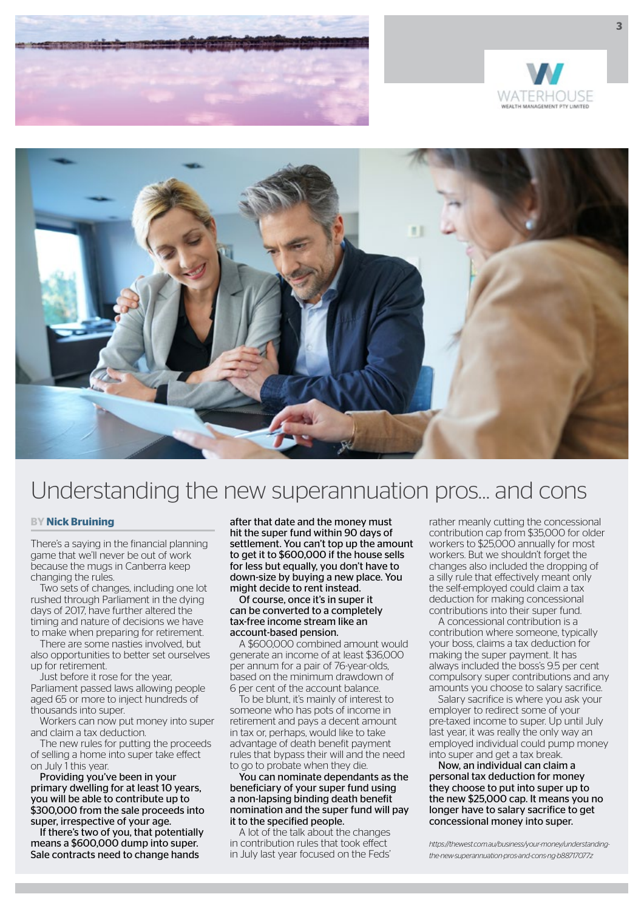





## Understanding the new superannuation pros… and cons

#### **BY Nick Bruining**

There's a saying in the financial planning game that we'll never be out of work because the mugs in Canberra keep changing the rules.

Two sets of changes, including one lot rushed through Parliament in the dying days of 2017, have further altered the timing and nature of decisions we have to make when preparing for retirement.

There are some nasties involved, but also opportunities to better set ourselves up for retirement.

Just before it rose for the year, Parliament passed laws allowing people aged 65 or more to inject hundreds of thousands into super.

Workers can now put money into super and claim a tax deduction.

The new rules for putting the proceeds of selling a home into super take effect on July 1 this year.

Providing you've been in your primary dwelling for at least 10 years, you will be able to contribute up to \$300,000 from the sale proceeds into super, irrespective of your age.

If there's two of you, that potentially means a \$600,000 dump into super. Sale contracts need to change hands

after that date and the money must hit the super fund within 90 days of settlement. You can't top up the amount to get it to \$600,000 if the house sells for less but equally, you don't have to down-size by buying a new place. You might decide to rent instead.

#### Of course, once it's in super it can be converted to a completely tax-free income stream like an account-based pension.

A \$600,000 combined amount would generate an income of at least \$36,000 per annum for a pair of 76-year-olds, based on the minimum drawdown of 6 per cent of the account balance.

To be blunt, it's mainly of interest to someone who has pots of income in retirement and pays a decent amount in tax or, perhaps, would like to take advantage of death benefit payment rules that bypass their will and the need to go to probate when they die.

You can nominate dependants as the beneficiary of your super fund using a non-lapsing binding death benefit nomination and the super fund will pay it to the specified people.

A lot of the talk about the changes in contribution rules that took effect in July last year focused on the Feds'

rather meanly cutting the concessional contribution cap from \$35,000 for older workers to \$25,000 annually for most workers. But we shouldn't forget the changes also included the dropping of a silly rule that effectively meant only the self-employed could claim a tax deduction for making concessional contributions into their super fund.

A concessional contribution is a contribution where someone, typically your boss, claims a tax deduction for making the super payment. It has always included the boss's 9.5 per cent compulsory super contributions and any amounts you choose to salary sacrifice.

Salary sacrifice is where you ask your employer to redirect some of your pre-taxed income to super. Up until July last year, it was really the only way an employed individual could pump money into super and get a tax break.

Now, an individual can claim a personal tax deduction for money they choose to put into super up to the new \$25,000 cap. It means you no longer have to salary sacrifice to get concessional money into super.

*https://thewest.com.au/business/your-money/understandingthe-new-superannuation-pros-and-cons-ng-b88717077z*